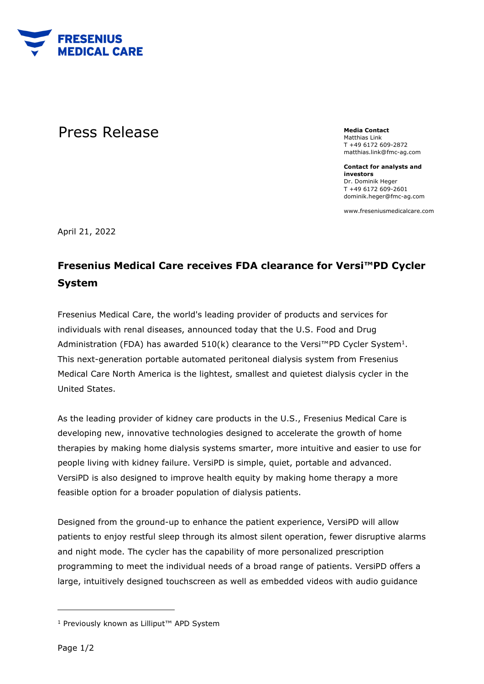

## **Press Release** Media Contact **Media Contact**

Matthias Link T +49 6172 609-2872 matthias.link@fmc-ag.com

**Contact for analysts and investors**  Dr. Dominik Heger T +49 6172 609-2601 dominik.heger@fmc-ag.com

www.freseniusmedicalcare.com

April 21, 2022

## **Fresenius Medical Care receives FDA clearance for Versi™PD Cycler System**

Fresenius Medical Care, the world's leading provider of products and services for individuals with renal diseases, announced today that the U.S. Food and Drug Administration (FDA) has awarded  $510(k)$  clearance to the Versi™PD Cycler System<sup>1</sup>. This next-generation portable automated peritoneal dialysis system from Fresenius Medical Care North America is the lightest, smallest and quietest dialysis cycler in the United States.

As the leading provider of kidney care products in the U.S., Fresenius Medical Care is developing new, innovative technologies designed to accelerate the growth of home therapies by making home dialysis systems smarter, more intuitive and easier to use for people living with kidney failure. VersiPD is simple, quiet, portable and advanced. VersiPD is also designed to improve health equity by making home therapy a more feasible option for a broader population of dialysis patients.

Designed from the ground-up to enhance the patient experience, VersiPD will allow patients to enjoy restful sleep through its almost silent operation, fewer disruptive alarms and night mode. The cycler has the capability of more personalized prescription programming to meet the individual needs of a broad range of patients. VersiPD offers a large, intuitively designed touchscreen as well as embedded videos with audio guidance

<sup>1</sup> Previously known as Lilliput™ APD System